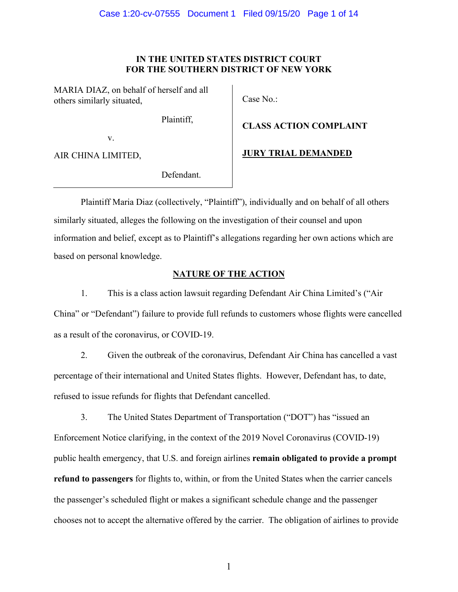# **IN THE UNITED STATES DISTRICT COURT FOR THE SOUTHERN DISTRICT OF NEW YORK**

MARIA DIAZ, on behalf of herself and all others similarly situated,

Plaintiff,

v.

AIR CHINA LIMITED,

Case No.:

**CLASS ACTION COMPLAINT**

Defendant.

**JURY TRIAL DEMANDED**

Plaintiff Maria Diaz (collectively, "Plaintiff"), individually and on behalf of all others similarly situated, alleges the following on the investigation of their counsel and upon information and belief, except as to Plaintiff's allegations regarding her own actions which are based on personal knowledge.

# **NATURE OF THE ACTION**

1. This is a class action lawsuit regarding Defendant Air China Limited's ("Air China" or "Defendant") failure to provide full refunds to customers whose flights were cancelled as a result of the coronavirus, or COVID-19.

2. Given the outbreak of the coronavirus, Defendant Air China has cancelled a vast percentage of their international and United States flights. However, Defendant has, to date, refused to issue refunds for flights that Defendant cancelled.

3. The United States Department of Transportation ("DOT") has "issued an Enforcement Notice clarifying, in the context of the 2019 Novel Coronavirus (COVID-19) public health emergency, that U.S. and foreign airlines **remain obligated to provide a prompt refund to passengers** for flights to, within, or from the United States when the carrier cancels the passenger's scheduled flight or makes a significant schedule change and the passenger chooses not to accept the alternative offered by the carrier. The obligation of airlines to provide

1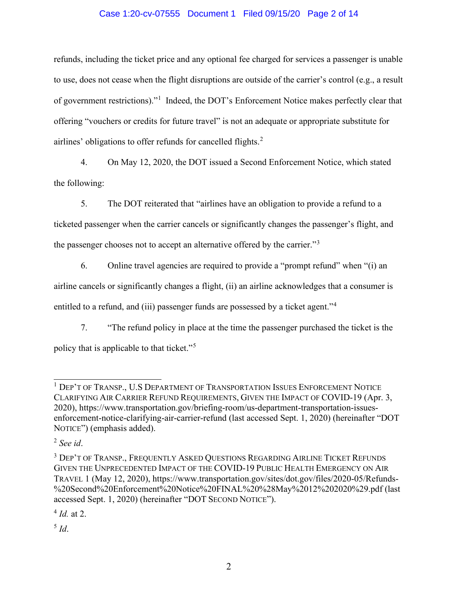# Case 1:20-cv-07555 Document 1 Filed 09/15/20 Page 2 of 14

refunds, including the ticket price and any optional fee charged for services a passenger is unable to use, does not cease when the flight disruptions are outside of the carrier's control (e.g., a result of government restrictions)."<sup>[1](#page-1-0)</sup> Indeed, the DOT's Enforcement Notice makes perfectly clear that offering "vouchers or credits for future travel" is not an adequate or appropriate substitute for airlines' obligations to offer refunds for cancelled flights.<sup>[2](#page-1-1)</sup>

4. On May 12, 2020, the DOT issued a Second Enforcement Notice, which stated the following:

5. The DOT reiterated that "airlines have an obligation to provide a refund to a ticketed passenger when the carrier cancels or significantly changes the passenger's flight, and

the passenger chooses not to accept an alternative offered by the carrier."[3](#page-1-2)

6. Online travel agencies are required to provide a "prompt refund" when "(i) an airline cancels or significantly changes a flight, (ii) an airline acknowledges that a consumer is entitled to a refund, and (iii) passenger funds are possessed by a ticket agent."<sup>[4](#page-1-3)</sup>

7. "The refund policy in place at the time the passenger purchased the ticket is the policy that is applicable to that ticket."[5](#page-1-4)

<span id="page-1-0"></span><sup>&</sup>lt;sup>1</sup> DEP'T OF TRANSP., U.S DEPARTMENT OF TRANSPORTATION ISSUES ENFORCEMENT NOTICE CLARIFYING AIR CARRIER REFUND REQUIREMENTS, GIVEN THE IMPACT OF COVID-19 (Apr. 3, 2020), https://www.transportation.gov/briefing-room/us-department-transportation-issuesenforcement-notice-clarifying-air-carrier-refund (last accessed Sept. 1, 2020) (hereinafter "DOT NOTICE") (emphasis added).

<span id="page-1-1"></span><sup>2</sup> *See id*.

<span id="page-1-2"></span><sup>&</sup>lt;sup>3</sup> DEP'T OF TRANSP., FREQUENTLY ASKED QUESTIONS REGARDING AIRLINE TICKET REFUNDS GIVEN THE UNPRECEDENTED IMPACT OF THE COVID-19 PUBLIC HEALTH EMERGENCY ON AIR TRAVEL 1 (May 12, 2020), https://www.transportation.gov/sites/dot.gov/files/2020-05/Refunds- %20Second%20Enforcement%20Notice%20FINAL%20%28May%2012%202020%29.pdf (last accessed Sept. 1, 2020) (hereinafter "DOT SECOND NOTICE").

<span id="page-1-3"></span><sup>4</sup> *Id.* at 2.

<span id="page-1-4"></span><sup>5</sup> *Id*.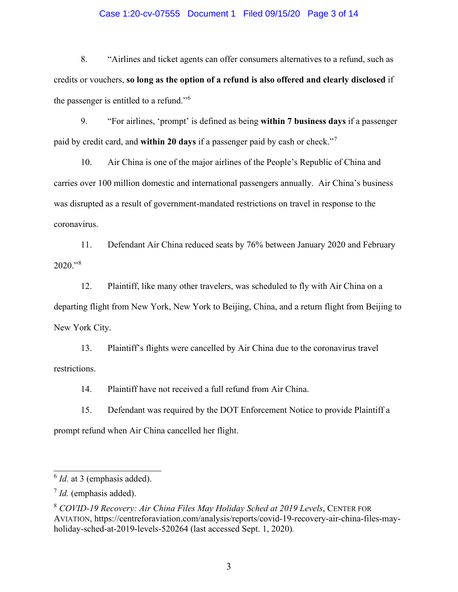### Case 1:20-cv-07555 Document 1 Filed 09/15/20 Page 3 of 14

8. "Airlines and ticket agents can offer consumers alternatives to a refund, such as credits or vouchers, **so long as the option of a refund is also offered and clearly disclosed** if the passenger is entitled to a refund."[6](#page-2-0)

9. "For airlines, 'prompt' is defined as being **within 7 business days** if a passenger paid by credit card, and **within 20 days** if a passenger paid by cash or check."[7](#page-2-1)

10. Air China is one of the major airlines of the People's Republic of China and carries over 100 million domestic and international passengers annually. Air China's business was disrupted as a result of government-mandated restrictions on travel in response to the coronavirus.

11. Defendant Air China reduced seats by 76% between January 2020 and February 2020."[8](#page-2-2)

12. Plaintiff, like many other travelers, was scheduled to fly with Air China on a departing flight from New York, New York to Beijing, China, and a return flight from Beijing to New York City.

13. Plaintiff's flights were cancelled by Air China due to the coronavirus travel restrictions.

14. Plaintiff have not received a full refund from Air China.

15. Defendant was required by the DOT Enforcement Notice to provide Plaintiff a prompt refund when Air China cancelled her flight.

<span id="page-2-0"></span><sup>&</sup>lt;sup>6</sup> *Id.* at 3 (emphasis added).

<span id="page-2-1"></span><sup>7</sup> *Id.* (emphasis added).

<span id="page-2-2"></span><sup>8</sup> *COVID-19 Recovery: Air China Files May Holiday Sched at 2019 Levels*, CENTER FOR AVIATION, https://centreforaviation.com/analysis/reports/covid-19-recovery-air-china-files-mayholiday-sched-at-2019-levels-520264 (last accessed Sept. 1, 2020)*.*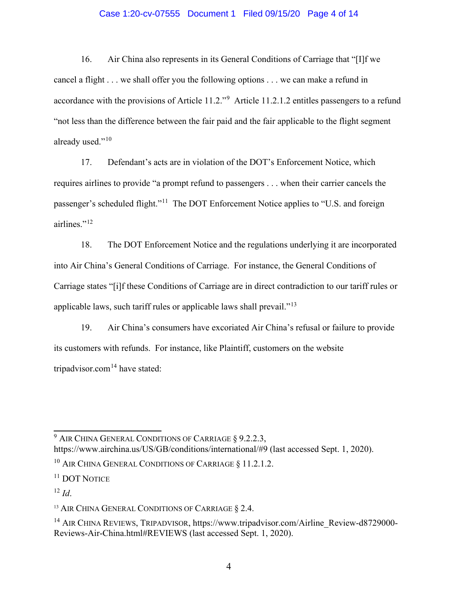### Case 1:20-cv-07555 Document 1 Filed 09/15/20 Page 4 of 14

16. Air China also represents in its General Conditions of Carriage that "[I]f we cancel a flight . . . we shall offer you the following options . . . we can make a refund in accordance with the provisions of Article 11.2."<sup>[9](#page-3-0)</sup> Article 11.2.1.2 entitles passengers to a refund "not less than the difference between the fair paid and the fair applicable to the flight segment already used."<sup>[10](#page-3-1)</sup>

17. Defendant's acts are in violation of the DOT's Enforcement Notice, which requires airlines to provide "a prompt refund to passengers . . . when their carrier cancels the passenger's scheduled flight."[11](#page-3-2) The DOT Enforcement Notice applies to "U.S. and foreign airlines."<sup>[12](#page-3-3)</sup>

18. The DOT Enforcement Notice and the regulations underlying it are incorporated into Air China's General Conditions of Carriage. For instance, the General Conditions of Carriage states "[i]f these Conditions of Carriage are in direct contradiction to our tariff rules or applicable laws, such tariff rules or applicable laws shall prevail."[13](#page-3-4)

19. Air China's consumers have excoriated Air China's refusal or failure to provide its customers with refunds. For instance, like Plaintiff, customers on the website tripadvisor.com<sup>[14](#page-3-5)</sup> have stated:

<span id="page-3-0"></span><sup>9</sup> AIR CHINA GENERAL CONDITIONS OF CARRIAGE § 9.2.2.3, https://www.airchina.us/US/GB/conditions/international/#9 (last accessed Sept. 1, 2020).

<span id="page-3-1"></span><sup>&</sup>lt;sup>10</sup> AIR CHINA GENERAL CONDITIONS OF CARRIAGE § 11.2.1.2.

<span id="page-3-2"></span><sup>&</sup>lt;sup>11</sup> DOT NOTICE

<span id="page-3-3"></span> $12 \, Id.$ 

<span id="page-3-4"></span><sup>&</sup>lt;sup>13</sup> AIR CHINA GENERAL CONDITIONS OF CARRIAGE § 2.4.

<span id="page-3-5"></span><sup>&</sup>lt;sup>14</sup> AIR CHINA REVIEWS, TRIPADVISOR, https://www.tripadvisor.com/Airline\_Review-d8729000-Reviews-Air-China.html#REVIEWS (last accessed Sept. 1, 2020).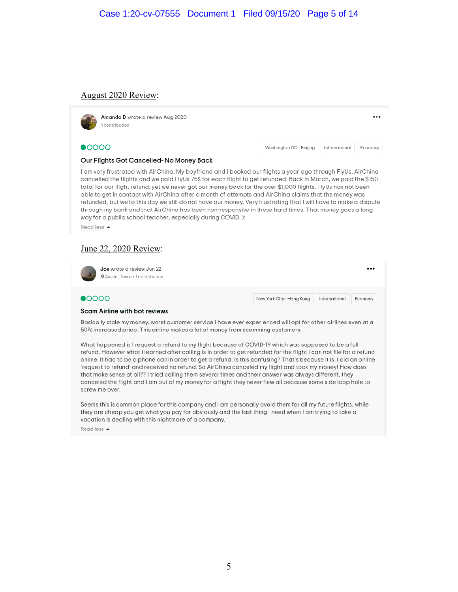### August 2020 Review:



 $\bullet$ 0000

Washington DC - Beijing International Economy

#### Our Flights Got Cancelled-No Money Back

I am very frustrated with AirChina. My boyfriend and I booked our flights a year ago through FlyUs. AirChina cancelled the flights and we paid FlyUs 75\$ for each flight to get refunded. Back in March, we paid the \$150 total for our flight refund, yet we never got our money back for the over \$1,000 flights. FlyUs has not been able to get in contact with AirChina after a month of attempts and AirChina claims that the money was refunded, but we to this day we still do not have our money. Very frustrating that I will have to make a dispute through my bank and that AirChina has been non-responsive in these hard times. That money goes a long way for a public school teacher, especially during COVID.):

Read less ▲

### June 22, 2020 Review:

| Joe wrote a review Jun 22<br><b>QAustin, Texas . 1 contribution</b> |  |                           |               |         |  |
|---------------------------------------------------------------------|--|---------------------------|---------------|---------|--|
| $\bullet$ 0000                                                      |  | New York City - Hong Kong | International | Economy |  |

#### **Scam Airline with bot reviews**

Basically stole my money, worst customer service I have ever experienced will opt for other airlines even at a 50% increased price. This airline makes a lot of money from scamming customers.

What happened is I request a refund to my flight because of COVID-19 which was supposed to be a full refund. However what I learned after calling is in order to get refunded for the flight I can not file for a refund online, it had to be a phone call in order to get a refund. Is this confusing? That's because it is, I did an online 'request to refund' and received no refund. So AirChina canceled my flight and took my money! How does that make sense at all?? I tried calling them several times and their answer was always different, they canceled the flight and I am out of my money for a flight they never flew all because some side loop hole to screw me over.

Seems this is common place for this company and I am personally avoid them for all my future flights, while they are cheap you get what you pay for obviously and the last thing I need when I am trying to take a vacation is dealing with this nightmare of a company.

Read less ▲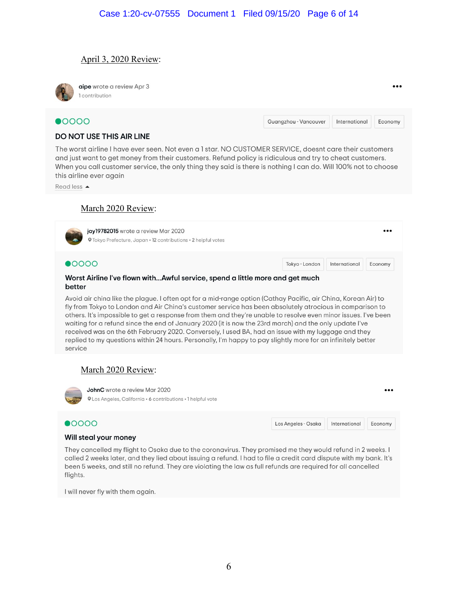# April 3, 2020 Review:



aipe wrote a review Apr 3 1 contribution

 $\bullet$ 0000

Guangzhou - Vancouver International Economy

International

Economy

Los Angeles - Osaka

### **DO NOT USE THIS AIR LINE**

The worst airline I have ever seen. Not even a 1 star. NO CUSTOMER SERVICE, doesnt care their customers and just want to get money from their customers. Refund policy is ridiculous and try to cheat customers. When you call customer service, the only thing they said is there is nothing I can do. Will 100% not to choose this airline ever again

Read less  $\triangle$ 

# March 2020 Review:



 $\bullet$ 0000

#### Will steal your money

They cancelled my flight to Osaka due to the coronavirus. They promised me they would refund in 2 weeks. I called 2 weeks later, and they lied about issuing a refund. I had to file a credit card dispute with my bank. It's been 5 weeks, and still no refund. They are violating the law as full refunds are required for all cancelled flights.

I will never fly with them again.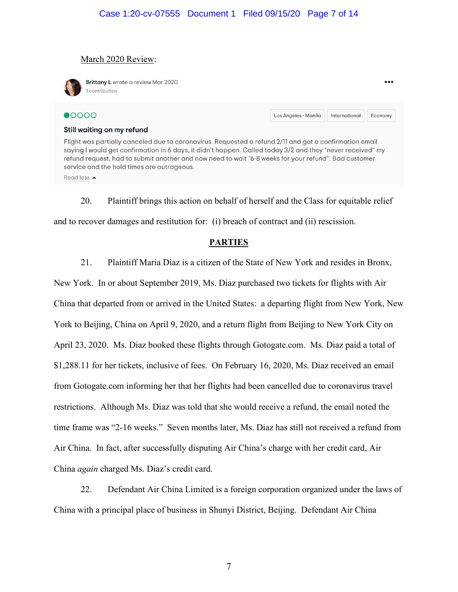# March 2020 Review:

Still waiting on my refund



Brittany L wrote a review Mar 2020 1 contribution

# $\bullet$ 0000

Los Angeles - Manila International Economy

 $...$ 

### Flight was partially canceled due to coronavirus. Requested a refund 2/11 and got a confirmation email saying I would get confirmation in 6 days, it didn't happen. Called today 3/2 and they "never received" my refund request, had to submit another and now need to wait "6-8 weeks for your refund". Bad customer service and the hold times are outrageous.

Read less ▲

20. Plaintiff brings this action on behalf of herself and the Class for equitable relief and to recover damages and restitution for: (i) breach of contract and (ii) rescission.

# **PARTIES**

21. Plaintiff Maria Diaz is a citizen of the State of New York and resides in Bronx,

New York. In or about September 2019, Ms. Diaz purchased two tickets for flights with Air China that departed from or arrived in the United States: a departing flight from New York, New York to Beijing, China on April 9, 2020, and a return flight from Beijing to New York City on April 23, 2020. Ms. Diaz booked these flights through Gotogate.com. Ms. Diaz paid a total of \$1,288.11 for her tickets, inclusive of fees. On February 16, 2020, Ms. Diaz received an email from Gotogate.com informing her that her flights had been cancelled due to coronavirus travel restrictions. Although Ms. Diaz was told that she would receive a refund, the email noted the time frame was "2-16 weeks." Seven months later, Ms. Diaz has still not received a refund from Air China. In fact, after successfully disputing Air China's charge with her credit card, Air China *again* charged Ms. Diaz's credit card.

22. Defendant Air China Limited is a foreign corporation organized under the laws of China with a principal place of business in Shunyi District, Beijing. Defendant Air China

7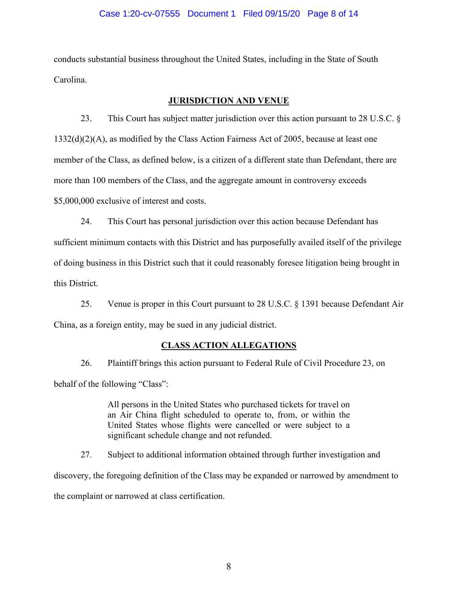### Case 1:20-cv-07555 Document 1 Filed 09/15/20 Page 8 of 14

conducts substantial business throughout the United States, including in the State of South Carolina.

### **JURISDICTION AND VENUE**

23. This Court has subject matter jurisdiction over this action pursuant to 28 U.S.C. § 1332(d)(2)(A), as modified by the Class Action Fairness Act of 2005, because at least one member of the Class, as defined below, is a citizen of a different state than Defendant, there are more than 100 members of the Class, and the aggregate amount in controversy exceeds \$5,000,000 exclusive of interest and costs.

24. This Court has personal jurisdiction over this action because Defendant has sufficient minimum contacts with this District and has purposefully availed itself of the privilege of doing business in this District such that it could reasonably foresee litigation being brought in this District.

25. Venue is proper in this Court pursuant to 28 U.S.C. § 1391 because Defendant Air China, as a foreign entity, may be sued in any judicial district.

### **CLASS ACTION ALLEGATIONS**

26. Plaintiff brings this action pursuant to Federal Rule of Civil Procedure 23, on behalf of the following "Class":

> All persons in the United States who purchased tickets for travel on an Air China flight scheduled to operate to, from, or within the United States whose flights were cancelled or were subject to a significant schedule change and not refunded.

27. Subject to additional information obtained through further investigation and discovery, the foregoing definition of the Class may be expanded or narrowed by amendment to

the complaint or narrowed at class certification.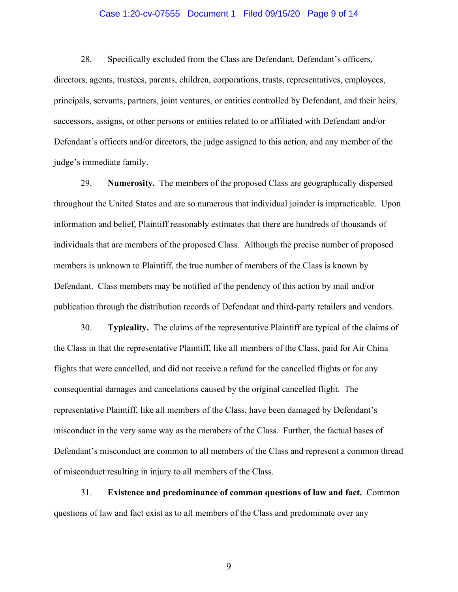### Case 1:20-cv-07555 Document 1 Filed 09/15/20 Page 9 of 14

28. Specifically excluded from the Class are Defendant, Defendant's officers, directors, agents, trustees, parents, children, corporations, trusts, representatives, employees, principals, servants, partners, joint ventures, or entities controlled by Defendant, and their heirs, successors, assigns, or other persons or entities related to or affiliated with Defendant and/or Defendant's officers and/or directors, the judge assigned to this action, and any member of the judge's immediate family.

29. **Numerosity.** The members of the proposed Class are geographically dispersed throughout the United States and are so numerous that individual joinder is impracticable. Upon information and belief, Plaintiff reasonably estimates that there are hundreds of thousands of individuals that are members of the proposed Class. Although the precise number of proposed members is unknown to Plaintiff, the true number of members of the Class is known by Defendant. Class members may be notified of the pendency of this action by mail and/or publication through the distribution records of Defendant and third-party retailers and vendors.

30. **Typicality.** The claims of the representative Plaintiff are typical of the claims of the Class in that the representative Plaintiff, like all members of the Class, paid for Air China flights that were cancelled, and did not receive a refund for the cancelled flights or for any consequential damages and cancelations caused by the original cancelled flight. The representative Plaintiff, like all members of the Class, have been damaged by Defendant's misconduct in the very same way as the members of the Class. Further, the factual bases of Defendant's misconduct are common to all members of the Class and represent a common thread of misconduct resulting in injury to all members of the Class.

31. **Existence and predominance of common questions of law and fact.** Common questions of law and fact exist as to all members of the Class and predominate over any

9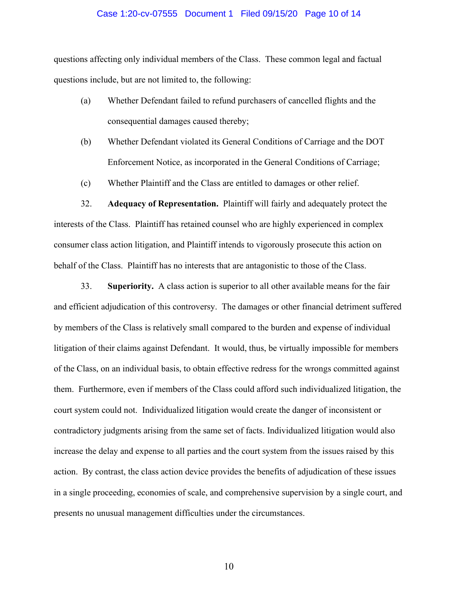### Case 1:20-cv-07555 Document 1 Filed 09/15/20 Page 10 of 14

questions affecting only individual members of the Class. These common legal and factual questions include, but are not limited to, the following:

- (a) Whether Defendant failed to refund purchasers of cancelled flights and the consequential damages caused thereby;
- (b) Whether Defendant violated its General Conditions of Carriage and the DOT Enforcement Notice, as incorporated in the General Conditions of Carriage;
- (c) Whether Plaintiff and the Class are entitled to damages or other relief.

32. **Adequacy of Representation.** Plaintiff will fairly and adequately protect the interests of the Class. Plaintiff has retained counsel who are highly experienced in complex consumer class action litigation, and Plaintiff intends to vigorously prosecute this action on behalf of the Class. Plaintiff has no interests that are antagonistic to those of the Class.

33. **Superiority.** A class action is superior to all other available means for the fair and efficient adjudication of this controversy. The damages or other financial detriment suffered by members of the Class is relatively small compared to the burden and expense of individual litigation of their claims against Defendant. It would, thus, be virtually impossible for members of the Class, on an individual basis, to obtain effective redress for the wrongs committed against them. Furthermore, even if members of the Class could afford such individualized litigation, the court system could not. Individualized litigation would create the danger of inconsistent or contradictory judgments arising from the same set of facts. Individualized litigation would also increase the delay and expense to all parties and the court system from the issues raised by this action. By contrast, the class action device provides the benefits of adjudication of these issues in a single proceeding, economies of scale, and comprehensive supervision by a single court, and presents no unusual management difficulties under the circumstances.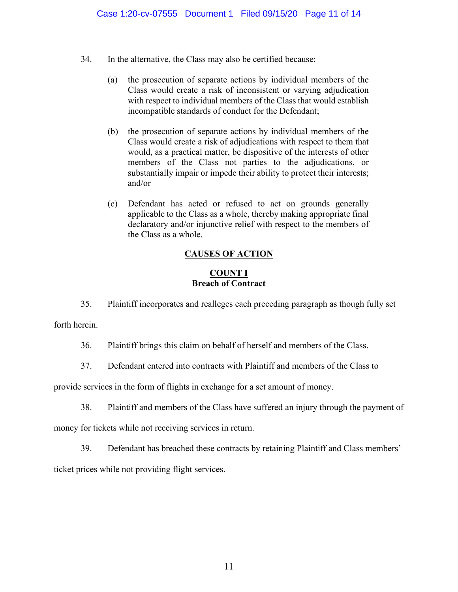- 34. In the alternative, the Class may also be certified because:
	- (a) the prosecution of separate actions by individual members of the Class would create a risk of inconsistent or varying adjudication with respect to individual members of the Class that would establish incompatible standards of conduct for the Defendant;
	- (b) the prosecution of separate actions by individual members of the Class would create a risk of adjudications with respect to them that would, as a practical matter, be dispositive of the interests of other members of the Class not parties to the adjudications, or substantially impair or impede their ability to protect their interests; and/or
	- (c) Defendant has acted or refused to act on grounds generally applicable to the Class as a whole, thereby making appropriate final declaratory and/or injunctive relief with respect to the members of the Class as a whole.

# **CAUSES OF ACTION**

# **COUNT I Breach of Contract**

35. Plaintiff incorporates and realleges each preceding paragraph as though fully set

forth herein.

36. Plaintiff brings this claim on behalf of herself and members of the Class.

37. Defendant entered into contracts with Plaintiff and members of the Class to

provide services in the form of flights in exchange for a set amount of money.

38. Plaintiff and members of the Class have suffered an injury through the payment of

money for tickets while not receiving services in return.

39. Defendant has breached these contracts by retaining Plaintiff and Class members'

ticket prices while not providing flight services.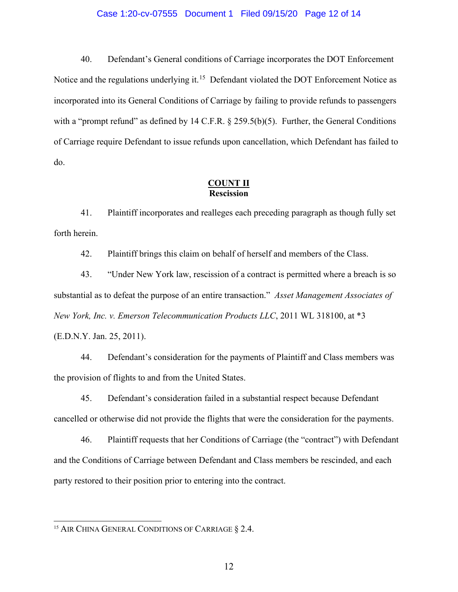### Case 1:20-cv-07555 Document 1 Filed 09/15/20 Page 12 of 14

40. Defendant's General conditions of Carriage incorporates the DOT Enforcement Notice and the regulations underlying it.<sup>15</sup> Defendant violated the DOT Enforcement Notice as incorporated into its General Conditions of Carriage by failing to provide refunds to passengers with a "prompt refund" as defined by 14 C.F.R. § 259.5(b)(5). Further, the General Conditions of Carriage require Defendant to issue refunds upon cancellation, which Defendant has failed to do.

### **COUNT II Rescission**

41. Plaintiff incorporates and realleges each preceding paragraph as though fully set forth herein.

42. Plaintiff brings this claim on behalf of herself and members of the Class.

43. "Under New York law, rescission of a contract is permitted where a breach is so substantial as to defeat the purpose of an entire transaction." *Asset Management Associates of New York, Inc. v. Emerson Telecommunication Products LLC*, 2011 WL 318100, at \*3

(E.D.N.Y. Jan. 25, 2011).

44. Defendant's consideration for the payments of Plaintiff and Class members was the provision of flights to and from the United States.

45. Defendant's consideration failed in a substantial respect because Defendant cancelled or otherwise did not provide the flights that were the consideration for the payments.

46. Plaintiff requests that her Conditions of Carriage (the "contract") with Defendant and the Conditions of Carriage between Defendant and Class members be rescinded, and each party restored to their position prior to entering into the contract.

<span id="page-11-0"></span><sup>&</sup>lt;sup>15</sup> AIR CHINA GENERAL CONDITIONS OF CARRIAGE § 2.4.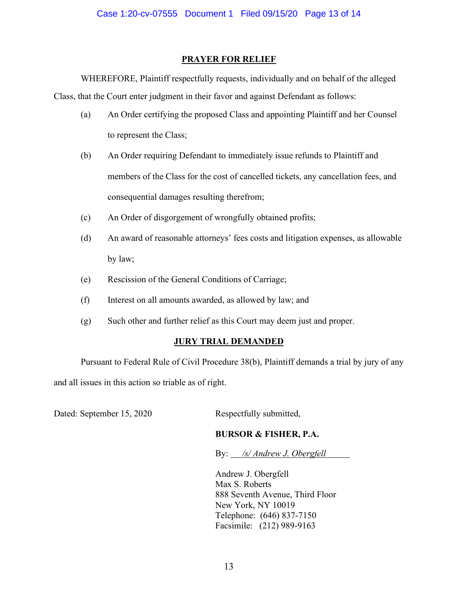# **PRAYER FOR RELIEF**

WHEREFORE, Plaintiff respectfully requests, individually and on behalf of the alleged Class, that the Court enter judgment in their favor and against Defendant as follows:

- (a) An Order certifying the proposed Class and appointing Plaintiff and her Counsel to represent the Class;
- (b) An Order requiring Defendant to immediately issue refunds to Plaintiff and members of the Class for the cost of cancelled tickets, any cancellation fees, and consequential damages resulting therefrom;
- (c) An Order of disgorgement of wrongfully obtained profits;
- (d) An award of reasonable attorneys' fees costs and litigation expenses, as allowable by law;
- (e) Rescission of the General Conditions of Carriage;
- (f) Interest on all amounts awarded, as allowed by law; and
- (g) Such other and further relief as this Court may deem just and proper.

# **JURY TRIAL DEMANDED**

Pursuant to Federal Rule of Civil Procedure 38(b), Plaintiff demands a trial by jury of any and all issues in this action so triable as of right.

Dated: September 15, 2020 Respectfully submitted,

# **BURSOR & FISHER, P.A.**

By: */s/ Andrew J. Obergfell*

Andrew J. Obergfell Max S. Roberts 888 Seventh Avenue, Third Floor New York, NY 10019 Telephone: (646) 837-7150 Facsimile: (212) 989-9163